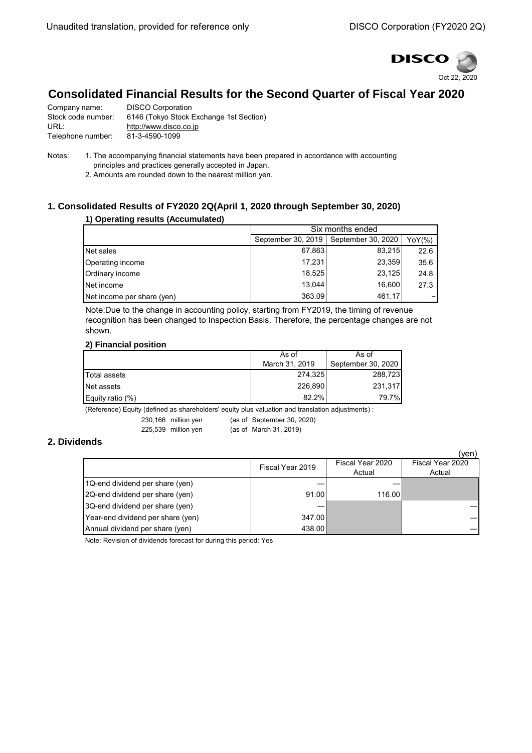

## **Consolidated Financial Results for the Second Quarter of Fiscal Year 2020**

| Company name:      | <b>DISCO Corporation</b>                |
|--------------------|-----------------------------------------|
| Stock code number: | 6146 (Tokyo Stock Exchange 1st Section) |
| URL:               | http://www.disco.co.jp                  |
| Telephone number:  | 81-3-4590-1099                          |

Notes: 1. The accompanying financial statements have been prepared in accordance with accounting principles and practices generally accepted in Japan.

2. Amounts are rounded down to the nearest million yen.

### **1. Consolidated Results of FY2020 2Q(April 1, 2020 through September 30, 2020)**

### **1) Operating results (Accumulated)**

|                            | Six months ended                         |        |      |  |
|----------------------------|------------------------------------------|--------|------|--|
|                            | September 30, 2019<br>September 30, 2020 |        |      |  |
| Net sales                  | 67,863                                   | 83.215 | 22.6 |  |
| Operating income           | 17.231                                   | 23,359 | 35.6 |  |
| Ordinary income            | 18.525                                   | 23,125 | 24.8 |  |
| Net income                 | 13.044                                   | 16,600 | 27.3 |  |
| Net income per share (yen) | 363.09                                   | 461.17 |      |  |

Note:Due to the change in accounting policy, starting from FY2019, the timing of revenue recognition has been changed to Inspection Basis. Therefore, the percentage changes are not shown.

#### **2) Financial position**

|                     | As of          | As of              |  |
|---------------------|----------------|--------------------|--|
|                     | March 31, 2019 | September 30, 2020 |  |
| <b>Total assets</b> | 274,325        | 288,723            |  |
| Net assets          | 226.890        | 231,317            |  |
| Equity ratio (%)    | 82.2%          | 79.7%              |  |

(Reference) Equity (defined as shareholders' equity plus valuation and translation adjustments) :

230,166 million yen (as of September 30, 2020)

225,539 million yen (as of March 31, 2019)

#### **2. Dividends**

|                                   |                  |                            | (ven)                      |
|-----------------------------------|------------------|----------------------------|----------------------------|
|                                   | Fiscal Year 2019 | Fiscal Year 2020<br>Actual | Fiscal Year 2020<br>Actual |
| 1Q-end dividend per share (yen)   |                  |                            |                            |
| 2Q-end dividend per share (yen)   | 91.00            | 116.00                     |                            |
| 3Q-end dividend per share (yen)   |                  |                            |                            |
| Year-end dividend per share (yen) | 347.00           |                            |                            |
| Annual dividend per share (yen)   | 438.00           |                            |                            |

Note: Revision of dividends forecast for during this period: Yes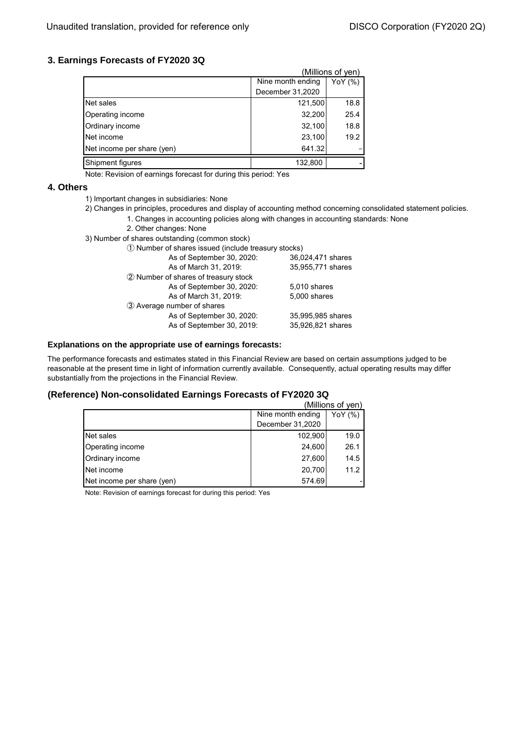### **3. Earnings Forecasts of FY2020 3Q**

|                            |                   | (Millions of ven) |
|----------------------------|-------------------|-------------------|
|                            | Nine month ending | YoY $(%)$         |
|                            | December 31,2020  |                   |
| Net sales                  | 121,500           | 18.8              |
| Operating income           | 32,200            | 25.4              |
| Ordinary income            | 32,100            | 18.8              |
| Net income                 | 23,100            | 19.2              |
| Net income per share (yen) | 641.32            |                   |
| Shipment figures           | 132,800           |                   |

Note: Revision of earnings forecast for during this period: Yes

#### **4. Others**

- 1) Important changes in subsidiaries: None
- 2) Changes in principles, procedures and display of accounting method concerning consolidated statement policies.
	- 1. Changes in accounting policies along with changes in accounting standards: None
	- 2. Other changes: None
- 3) Number of shares outstanding (common stock)

| 1) Number of shares issued (include treasury stocks) |                   |  |  |
|------------------------------------------------------|-------------------|--|--|
| As of September 30, 2020:                            | 36,024,471 shares |  |  |
| As of March 31, 2019:                                | 35,955,771 shares |  |  |
| 2 Number of shares of treasury stock                 |                   |  |  |
| As of September 30, 2020:                            | 5,010 shares      |  |  |
| As of March 31, 2019:                                | 5,000 shares      |  |  |
| 3 Average number of shares                           |                   |  |  |
| As of September 30, 2020:                            | 35,995,985 shares |  |  |
| As of September 30, 2019:                            | 35,926,821 shares |  |  |
|                                                      |                   |  |  |

#### **Explanations on the appropriate use of earnings forecasts:**

The performance forecasts and estimates stated in this Financial Review are based on certain assumptions judged to be reasonable at the present time in light of information currently available. Consequently, actual operating results may differ substantially from the projections in the Financial Review.

#### **(Reference) Non-consolidated Earnings Forecasts of FY2020 3Q**

| (Millions of yen)          |                              |      |  |
|----------------------------|------------------------------|------|--|
|                            | Nine month ending<br>YoY (%) |      |  |
|                            | December 31,2020             |      |  |
| Net sales                  | 102,900                      | 19.0 |  |
| Operating income           | 24,600                       | 26.1 |  |
| Ordinary income            | 27,600                       | 14.5 |  |
| Net income                 | 20,700                       | 11.2 |  |
| Net income per share (yen) | 574.69                       |      |  |

Note: Revision of earnings forecast for during this period: Yes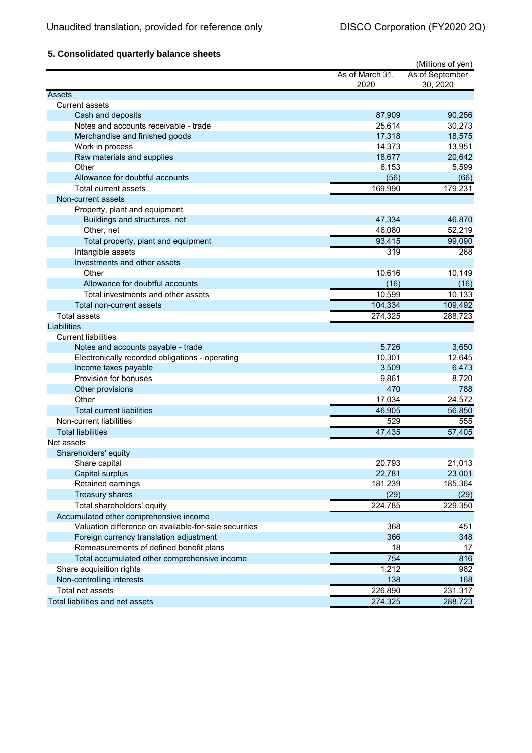## **5. Consolidated quarterly balance sheets**

|                                                       |                 | (Millions of yen) |
|-------------------------------------------------------|-----------------|-------------------|
|                                                       | As of March 31, | As of September   |
|                                                       | 2020            | 30, 2020          |
| <b>Assets</b>                                         |                 |                   |
| <b>Current assets</b>                                 |                 |                   |
| Cash and deposits                                     | 87,909          | 90,256            |
| Notes and accounts receivable - trade                 | 25,614          | 30,273            |
| Merchandise and finished goods                        | 17,318          | 18,575            |
| Work in process                                       | 14,373          | 13,951            |
| Raw materials and supplies                            | 18,677          | 20,642            |
| Other                                                 | 6,153           | 5,599             |
| Allowance for doubtful accounts                       | (56)            | (66)              |
| <b>Total current assets</b>                           | 169,990         | 179,231           |
| Non-current assets                                    |                 |                   |
| Property, plant and equipment                         |                 |                   |
| Buildings and structures, net                         | 47,334          | 46,870            |
| Other, net                                            | 46,080          | 52,219            |
| Total property, plant and equipment                   | 93,415          | 99,090            |
| Intangible assets                                     | 319             | 268               |
| Investments and other assets                          |                 |                   |
| Other                                                 | 10,616          | 10,149            |
| Allowance for doubtful accounts                       | (16)            | (16)              |
| Total investments and other assets                    | 10,599          | 10,133            |
| Total non-current assets                              | 104,334         | 109,492           |
| <b>Total assets</b>                                   | 274,325         | 288,723           |
| Liabilities                                           |                 |                   |
| <b>Current liabilities</b>                            |                 |                   |
| Notes and accounts payable - trade                    | 5,726           | 3,650             |
| Electronically recorded obligations - operating       | 10,301          | 12,645            |
| Income taxes payable                                  | 3,509           | 6,473             |
| Provision for bonuses                                 | 9,861           | 8,720             |
| Other provisions                                      | 470             | 788               |
| Other                                                 | 17,034          | 24,572            |
| <b>Total current liabilities</b>                      | 46,905          | 56,850            |
| Non-current liabilities                               | 529             | 555               |
| <b>Total liabilities</b>                              | 47,435          | 57,405            |
| Net assets                                            |                 |                   |
| Shareholders' equity                                  |                 |                   |
| Share capital                                         | 20,793          | 21,013            |
| Capital surplus                                       | 22,781          | 23,001            |
| Retained earnings                                     | 181,239         | 185,364           |
| <b>Treasury shares</b>                                | (29)            | (29)              |
| Total shareholders' equity                            | 224,785         | 229,350           |
| Accumulated other comprehensive income                |                 |                   |
| Valuation difference on available-for-sale securities | 368             | 451               |
| Foreign currency translation adjustment               | 366             | 348               |
| Remeasurements of defined benefit plans               | 18              | 17                |
| Total accumulated other comprehensive income          | 754             | 816               |
| Share acquisition rights                              | 1,212           | 982               |
| Non-controlling interests                             | 138             | 168               |
| Total net assets                                      | 226,890         | 231,317           |
| Total liabilities and net assets                      | 274,325         | 288,723           |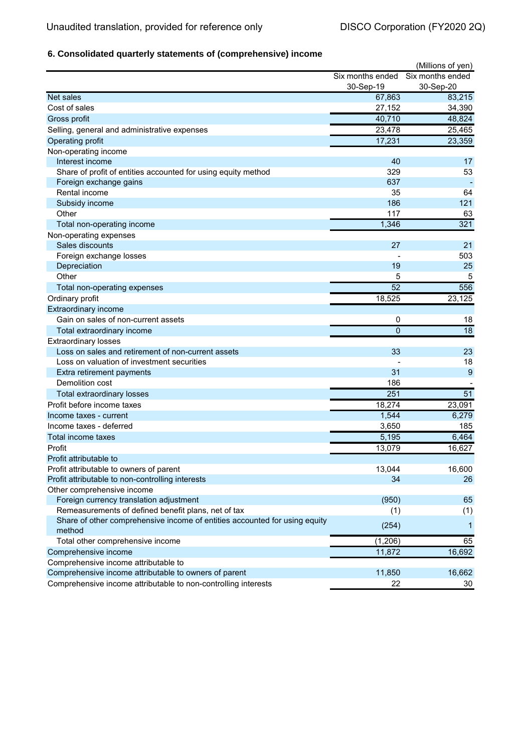# **6. Consolidated quarterly statements of (comprehensive) income**

|                                                                            |                  | (Millions of yen) |
|----------------------------------------------------------------------------|------------------|-------------------|
|                                                                            | Six months ended | Six months ended  |
|                                                                            | 30-Sep-19        | 30-Sep-20         |
| Net sales                                                                  | 67,863           | 83,215            |
| Cost of sales                                                              | 27,152           | 34,390            |
| Gross profit                                                               | 40,710           | 48,824            |
| Selling, general and administrative expenses                               | 23,478           | 25,465            |
| Operating profit                                                           | 17,231           | 23,359            |
| Non-operating income                                                       |                  |                   |
| Interest income                                                            | 40               | 17                |
| Share of profit of entities accounted for using equity method              | 329              | 53                |
| Foreign exchange gains                                                     | 637              |                   |
| Rental income                                                              | 35               | 64                |
| Subsidy income                                                             | 186              | 121               |
| Other                                                                      | 117              | 63                |
| Total non-operating income                                                 | 1,346            | 321               |
| Non-operating expenses                                                     |                  |                   |
| Sales discounts                                                            | 27               | 21                |
| Foreign exchange losses                                                    |                  | 503               |
| Depreciation                                                               | 19               | 25                |
| Other                                                                      | 5                | 5                 |
| Total non-operating expenses                                               | 52               | 556               |
| Ordinary profit                                                            | 18,525           | 23,125            |
| <b>Extraordinary income</b>                                                |                  |                   |
| Gain on sales of non-current assets                                        | 0                | 18                |
| Total extraordinary income                                                 | $\overline{0}$   | $\overline{18}$   |
| <b>Extraordinary losses</b>                                                |                  |                   |
| Loss on sales and retirement of non-current assets                         | 33               | 23                |
| Loss on valuation of investment securities                                 |                  | 18                |
| Extra retirement payments                                                  | 31               | 9                 |
| Demolition cost                                                            | 186              |                   |
| Total extraordinary losses                                                 | 251              | 51                |
| Profit before income taxes                                                 | 18,274           | 23,091            |
| Income taxes - current                                                     | 1,544            | 6,279             |
| Income taxes - deferred                                                    | 3,650            | 185               |
| Total income taxes                                                         | 5,195            | 6,464             |
| Profit                                                                     | 13,079           | 16,627            |
| Profit attributable to                                                     |                  |                   |
| Profit attributable to owners of parent                                    | 13,044           | 16,600            |
| Profit attributable to non-controlling interests                           | 34               | 26                |
| Other comprehensive income                                                 |                  |                   |
| Foreign currency translation adjustment                                    | (950)            | 65                |
| Remeasurements of defined benefit plans, net of tax                        | (1)              | (1)               |
| Share of other comprehensive income of entities accounted for using equity |                  |                   |
| method                                                                     | (254)            | 1                 |
| Total other comprehensive income                                           | (1, 206)         | 65                |
| Comprehensive income                                                       | 11,872           | 16,692            |
| Comprehensive income attributable to                                       |                  |                   |
| Comprehensive income attributable to owners of parent                      | 11,850           | 16,662            |
| Comprehensive income attributable to non-controlling interests             | 22               | 30                |